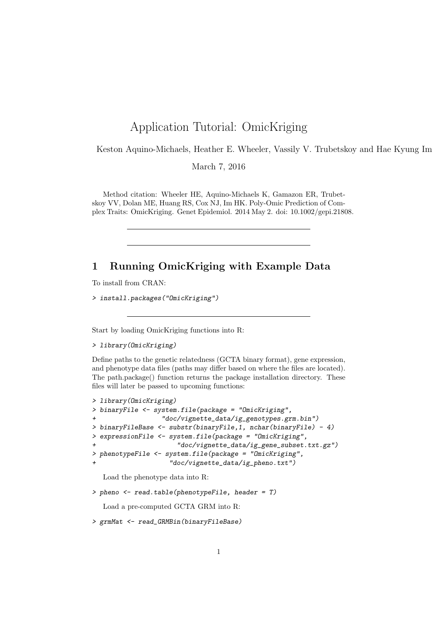## Application Tutorial: OmicKriging

Keston Aquino-Michaels, Heather E. Wheeler, Vassily V. Trubetskoy and Hae Kyung Im

March 7, 2016

Method citation: Wheeler HE, Aquino-Michaels K, Gamazon ER, Trubetskoy VV, Dolan ME, Huang RS, Cox NJ, Im HK. Poly-Omic Prediction of Complex Traits: OmicKriging. Genet Epidemiol. 2014 May 2. doi: 10.1002/gepi.21808.

## 1 Running OmicKriging with Example Data

To install from CRAN:

> install.packages("OmicKriging")

Start by loading OmicKriging functions into R:

> library(OmicKriging)

Define paths to the genetic relatedness (GCTA binary format), gene expression, and phenotype data files (paths may differ based on where the files are located). The path.package() function returns the package installation directory. These files will later be passed to upcoming functions:

```
> library(OmicKriging)
> binaryFile <- system.file(package = "OmicKriging",
+ "doc/vignette_data/ig_genotypes.grm.bin")
> binaryFileBase <- substr(binaryFile,1, nchar(binaryFile) - 4)
> expressionFile <- system.file(package = "OmicKriging",
                     "doc/vignette_data/ig_gene_subset.txt.gz")
> phenotypeFile <- system.file(package = "OmicKriging",
                   + "doc/vignette_data/ig_pheno.txt")
```
Load the phenotype data into R:

> pheno <- read.table(phenotypeFile, header = T)

Load a pre-computed GCTA GRM into R:

> grmMat <- read\_GRMBin(binaryFileBase)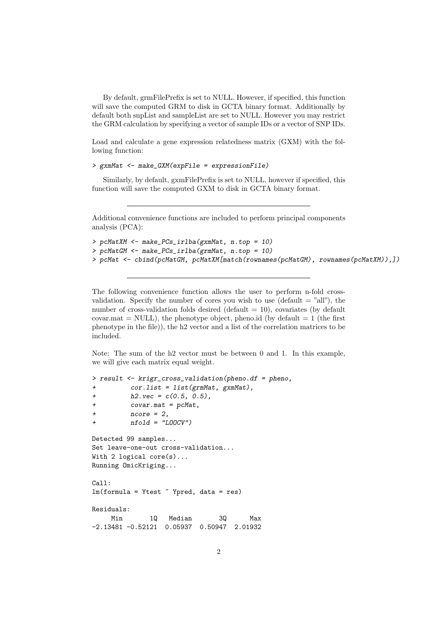By default, grmFilePrefix is set to NULL. However, if specified, this function will save the computed GRM to disk in GCTA binary format. Additionally by default both snpList and sampleList are set to NULL. However you may restrict the GRM calculation by specifying a vector of sample IDs or a vector of SNP IDs.

Load and calculate a gene expression relatedness matrix (GXM) with the following function:

```
> gxmMat <- make_GXM(expFile = expressionFile)
```
Similarly, by default, gxmFilePrefix is set to NULL, however if specified, this function will save the computed GXM to disk in GCTA binary format.

Additional convenience functions are included to perform principal components analysis (PCA):

```
> pcMatXM <- make_PCs_irlba(gxmMat, n.top = 10)
> pcMatGM <- make_PCs_irlba(grmMat, n.top = 10)
> pcMat <- cbind(pcMatGM, pcMatXM[match(rownames(pcMatGM), rownames(pcMatXM)),])
```
The following convenience function allows the user to perform n-fold crossvalidation. Specify the number of cores you wish to use (default  $=$  "all"), the number of cross-validation folds desired (default  $= 10$ ), covariates (by default covar.mat = NULL), the phenotype object, pheno.id (by default  $= 1$  (the first phenotype in the file)), the h2 vector and a list of the correlation matrices to be included.

Note: The sum of the h2 vector must be between 0 and 1. In this example, we will give each matrix equal weight.

```
> result <- krigr_cross_validation(pheno.df = pheno,
+ cor.list = list(grmMat, gxmMat),
+ h2. vec = c(0.5, 0.5),
+ covar.mat = pcMat,
+ ncore = 2,
+ nfold = "LOOCV")
Detected 99 samples...
Set leave-one-out cross-validation...
With 2 logical core(s)...
Running OmicKriging...
Ca11:lm(formula = Ytest "Ypred, data = res)Residuals:
    Min 1Q Median 3Q Max
-2.13481 -0.52121 0.05937 0.50947 2.01932
```